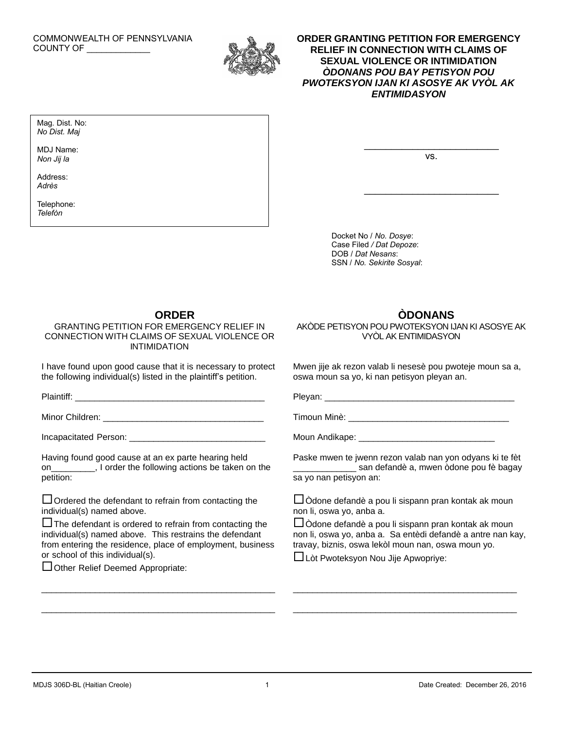#### COMMONWEALTH OF PENNSYLVANIA COUNTY OF \_\_\_\_\_\_\_\_\_\_\_\_\_



## **ORDER GRANTING PETITION FOR EMERGENCY RELIEF IN CONNECTION WITH CLAIMS OF SEXUAL VIOLENCE OR INTIMIDATION** *ÒDONANS POU BAY PETISYON POU PWOTEKSYON IJAN KI ASOSYE AK VYÒL AK ENTIMIDASYON*

Mag. Dist. No: *No Dist. Maj*

MDJ Name: *Non Jij la*

Address: *Adrès*

Telephone: *Telefòn*

vs.

 $\overline{\phantom{a}}$ 

Docket No / *No. Dosye*: Case Filed */ Dat Depoze*: DOB / *Dat Nesans*: SSN / *No. Sekirite Sosyal*:

## **ORDER**

GRANTING PETITION FOR EMERGENCY RELIEF IN CONNECTION WITH CLAIMS OF SEXUAL VIOLENCE OR INTIMIDATION

I have found upon good cause that it is necessary to protect the following individual(s) listed in the plaintiff's petition.

Plaintiff: \_\_\_\_\_\_\_\_\_\_\_\_\_\_\_\_\_\_\_\_\_\_\_\_\_\_\_\_\_\_\_\_\_\_\_\_\_\_\_

Minor Children: **William Children: Minor Children: William Children**: **William Children** 

Incapacitated Person: \_\_\_\_\_\_\_\_\_\_

Having found good cause at an ex parte hearing held on\_\_\_\_\_\_\_\_\_, I order the following actions be taken on the petition:

 $\Box$  Ordered the defendant to refrain from contacting the individual(s) named above.

 $\square$  The defendant is ordered to refrain from contacting the individual(s) named above. This restrains the defendant from entering the residence, place of employment, business or school of this individual(s).

 $\mathcal{L}_\text{max}$  and  $\mathcal{L}_\text{max}$  and  $\mathcal{L}_\text{max}$  and  $\mathcal{L}_\text{max}$  and  $\mathcal{L}_\text{max}$ 

 $\mathcal{L}_\text{max}$  and  $\mathcal{L}_\text{max}$  and  $\mathcal{L}_\text{max}$  and  $\mathcal{L}_\text{max}$  and  $\mathcal{L}_\text{max}$ 

□ Other Relief Deemed Appropriate:

# **ÒDONANS**

AKÒDE PETISYON POU PWOTEKSYON IJAN KI ASOSYE AK VYÒL AK ENTIMIDASYON

Mwen jije ak rezon valab li nesesè pou pwoteje moun sa a, oswa moun sa yo, ki nan petisyon pleyan an.

Pleyan: \_\_\_\_\_\_\_\_\_\_\_\_\_\_\_\_\_\_\_\_\_\_\_\_\_\_\_\_\_\_\_\_\_\_\_\_\_\_\_

Timoun Minè: **William Strategie** 

Moun Andikape: \_\_\_\_\_\_\_\_\_\_\_

Paske mwen te jwenn rezon valab nan yon odyans ki te fèt \_\_\_\_\_\_\_\_\_\_\_\_\_ san defandè a, mwen òdone pou fè bagay sa yo nan petisyon an:

 $\square$ Òdone defandè a pou li sispann pran kontak ak moun non li, oswa yo, anba a.

Òdone defandè a pou li sispann pran kontak ak moun non li, oswa yo, anba a. Sa entèdi defandè a antre nan kay, travay, biznis, oswa lekòl moun nan, oswa moun yo.

\_\_\_\_\_\_\_\_\_\_\_\_\_\_\_\_\_\_\_\_\_\_\_\_\_\_\_\_\_\_\_\_\_\_\_\_\_\_\_\_\_\_\_\_\_\_

\_\_\_\_\_\_\_\_\_\_\_\_\_\_\_\_\_\_\_\_\_\_\_\_\_\_\_\_\_\_\_\_\_\_\_\_\_\_\_\_\_\_\_\_\_\_

Lòt Pwoteksyon Nou Jije Apwopriye: